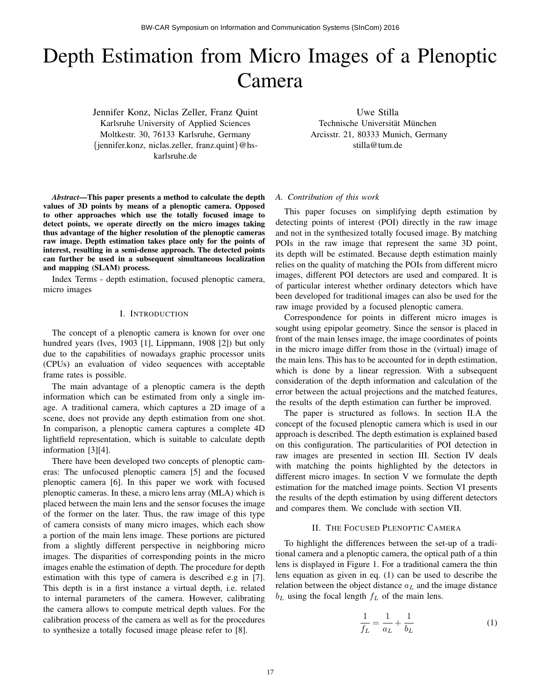# Depth Estimation from Micro Images of a Plenoptic Camera

Jennifer Konz, Niclas Zeller, Franz Quint Karlsruhe University of Applied Sciences Moltkestr. 30, 76133 Karlsruhe, Germany {jennifer.konz, niclas.zeller, franz.quint}@hskarlsruhe.de

Uwe Stilla Technische Universität München Arcisstr. 21, 80333 Munich, Germany stilla@tum.de

*Abstract*—This paper presents a method to calculate the depth values of 3D points by means of a plenoptic camera. Opposed to other approaches which use the totally focused image to detect points, we operate directly on the micro images taking thus advantage of the higher resolution of the plenoptic cameras raw image. Depth estimation takes place only for the points of interest, resulting in a semi-dense approach. The detected points can further be used in a subsequent simultaneous localization and mapping (SLAM) process.

Index Terms - depth estimation, focused plenoptic camera, micro images

### I. INTRODUCTION

The concept of a plenoptic camera is known for over one hundred years (Ives, 1903 [1], Lippmann, 1908 [2]) but only due to the capabilities of nowadays graphic processor units (CPUs) an evaluation of video sequences with acceptable frame rates is possible.

The main advantage of a plenoptic camera is the depth information which can be estimated from only a single image. A traditional camera, which captures a 2D image of a scene, does not provide any depth estimation from one shot. In comparison, a plenoptic camera captures a complete 4D lightfield representation, which is suitable to calculate depth information [3][4].

There have been developed two concepts of plenoptic cameras: The unfocused plenoptic camera [5] and the focused plenoptic camera [6]. In this paper we work with focused plenoptic cameras. In these, a micro lens array (MLA) which is placed between the main lens and the sensor focuses the image of the former on the later. Thus, the raw image of this type of camera consists of many micro images, which each show a portion of the main lens image. These portions are pictured from a slightly different perspective in neighboring micro images. The disparities of corresponding points in the micro images enable the estimation of depth. The procedure for depth estimation with this type of camera is described e.g in [7]. This depth is in a first instance a virtual depth, i.e. related to internal parameters of the camera. However, calibrating the camera allows to compute metrical depth values. For the calibration process of the camera as well as for the procedures to synthesize a totally focused image please refer to [8].

#### *A. Contribution of this work*

This paper focuses on simplifying depth estimation by detecting points of interest (POI) directly in the raw image and not in the synthesized totally focused image. By matching POIs in the raw image that represent the same 3D point, its depth will be estimated. Because depth estimation mainly relies on the quality of matching the POIs from different micro images, different POI detectors are used and compared. It is of particular interest whether ordinary detectors which have been developed for traditional images can also be used for the raw image provided by a focused plenoptic camera.

Correspondence for points in different micro images is sought using epipolar geometry. Since the sensor is placed in front of the main lenses image, the image coordinates of points in the micro image differ from those in the (virtual) image of the main lens. This has to be accounted for in depth estimation, which is done by a linear regression. With a subsequent consideration of the depth information and calculation of the error between the actual projections and the matched features, the results of the depth estimation can further be improved.

The paper is structured as follows. In section II.A the concept of the focused plenoptic camera which is used in our approach is described. The depth estimation is explained based on this configuration. The particularities of POI detection in raw images are presented in section III. Section IV deals with matching the points highlighted by the detectors in different micro images. In section V we formulate the depth estimation for the matched image points. Section VI presents the results of the depth estimation by using different detectors and compares them. We conclude with section VII.

# II. THE FOCUSED PLENOPTIC CAMERA

To highlight the differences between the set-up of a traditional camera and a plenoptic camera, the optical path of a thin lens is displayed in Figure 1. For a traditional camera the thin lens equation as given in eq. (1) can be used to describe the relation between the object distance  $a<sub>L</sub>$  and the image distance  $b<sub>L</sub>$  using the focal length  $f<sub>L</sub>$  of the main lens.

$$
\frac{1}{f_L} = \frac{1}{a_L} + \frac{1}{b_L} \tag{1}
$$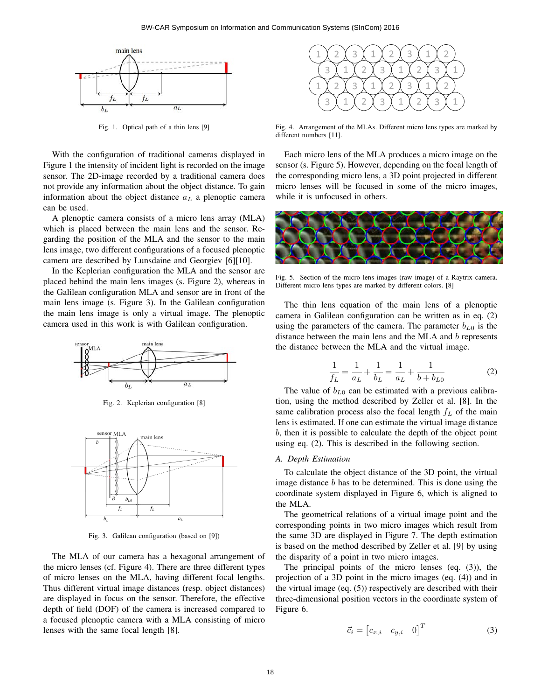

Fig. 1. Optical path of a thin lens [9]

With the configuration of traditional cameras displayed in Figure 1 the intensity of incident light is recorded on the image sensor. The 2D-image recorded by a traditional camera does not provide any information about the object distance. To gain information about the object distance  $a<sub>L</sub>$  a plenoptic camera can be used.

A plenoptic camera consists of a micro lens array (MLA) which is placed between the main lens and the sensor. Regarding the position of the MLA and the sensor to the main lens image, two different configurations of a focused plenoptic camera are described by Lunsdaine and Georgiev [6][10].

In the Keplerian configuration the MLA and the sensor are placed behind the main lens images (s. Figure 2), whereas in the Galilean configuration MLA and sensor are in front of the main lens image (s. Figure 3). In the Galilean configuration the main lens image is only a virtual image. The plenoptic camera used in this work is with Galilean configuration.



Fig. 2. Keplerian configuration [8]



Fig. 3. Galilean configuration (based on [9])

The MLA of our camera has a hexagonal arrangement of the micro lenses (cf. Figure 4). There are three different types of micro lenses on the MLA, having different focal lengths. Thus different virtual image distances (resp. object distances) are displayed in focus on the sensor. Therefore, the effective depth of field (DOF) of the camera is increased compared to a focused plenoptic camera with a MLA consisting of micro lenses with the same focal length [8].



Fig. 4. Arrangement of the MLAs. Different micro lens types are marked by different numbers [11].

Each micro lens of the MLA produces a micro image on the sensor (s. Figure 5). However, depending on the focal length of the corresponding micro lens, a 3D point projected in different micro lenses will be focused in some of the micro images, while it is unfocused in others.



Fig. 5. Section of the micro lens images (raw image) of a Raytrix camera. Different micro lens types are marked by different colors. [8]

The thin lens equation of the main lens of a plenoptic camera in Galilean configuration can be written as in eq. (2) using the parameters of the camera. The parameter  $b_{L0}$  is the distance between the main lens and the MLA and b represents the distance between the MLA and the virtual image.

$$
\frac{1}{f_L} = \frac{1}{a_L} + \frac{1}{b_L} = \frac{1}{a_L} + \frac{1}{b + b_{L0}}
$$
 (2)

The value of  $b_{L0}$  can be estimated with a previous calibration, using the method described by Zeller et al. [8]. In the same calibration process also the focal length  $f<sub>L</sub>$  of the main lens is estimated. If one can estimate the virtual image distance b, then it is possible to calculate the depth of the object point using eq. (2). This is described in the following section.

### *A. Depth Estimation*

To calculate the object distance of the 3D point, the virtual image distance b has to be determined. This is done using the coordinate system displayed in Figure 6, which is aligned to the MLA.

The geometrical relations of a virtual image point and the corresponding points in two micro images which result from the same 3D are displayed in Figure 7. The depth estimation is based on the method described by Zeller et al. [9] by using the disparity of a point in two micro images.

The principal points of the micro lenses (eq. (3)), the projection of a 3D point in the micro images (eq. (4)) and in the virtual image (eq. (5)) respectively are described with their three-dimensional position vectors in the coordinate system of Figure 6.

$$
\vec{c}_i = \begin{bmatrix} c_{x,i} & c_{y,i} & 0 \end{bmatrix}^T \tag{3}
$$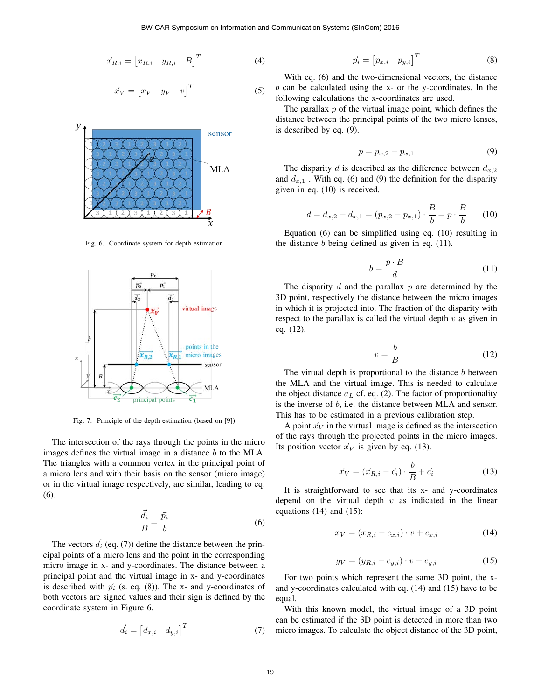$$
\vec{x}_{R,i} = \begin{bmatrix} x_{R,i} & y_{R,i} & B \end{bmatrix}^T
$$
 (4)

$$
\vec{x}_V = \begin{bmatrix} x_V & y_V & v \end{bmatrix}^T \tag{5}
$$



Fig. 6. Coordinate system for depth estimation



Fig. 7. Principle of the depth estimation (based on [9])

The intersection of the rays through the points in the micro images defines the virtual image in a distance  $b$  to the MLA. The triangles with a common vertex in the principal point of a micro lens and with their basis on the sensor (micro image) or in the virtual image respectively, are similar, leading to eq. (6).

$$
\frac{\vec{d}_i}{B} = \frac{\vec{p}_i}{b} \tag{6}
$$

The vectors  $\vec{d}_i$  (eq. (7)) define the distance between the principal points of a micro lens and the point in the corresponding micro image in x- and y-coordinates. The distance between a principal point and the virtual image in x- and y-coordinates is described with  $\vec{p}_i$  (s. eq. (8)). The x- and y-coordinates of both vectors are signed values and their sign is defined by the coordinate system in Figure 6.

$$
\vec{d}_i = \begin{bmatrix} d_{x,i} & d_{y,i} \end{bmatrix}^T \tag{7}
$$

$$
\vec{p}_i = \begin{bmatrix} p_{x,i} & p_{y,i} \end{bmatrix}^T \tag{8}
$$

With eq. (6) and the two-dimensional vectors, the distance  $b$  can be calculated using the x- or the y-coordinates. In the following calculations the x-coordinates are used.

The parallax  $p$  of the virtual image point, which defines the distance between the principal points of the two micro lenses, is described by eq. (9).

$$
p = p_{x,2} - p_{x,1} \tag{9}
$$

The disparity d is described as the difference between  $d_{x,2}$ and  $d_{x,1}$ . With eq. (6) and (9) the definition for the disparity given in eq. (10) is received.

$$
d = d_{x,2} - d_{x,1} = (p_{x,2} - p_{x,1}) \cdot \frac{B}{b} = p \cdot \frac{B}{b}
$$
 (10)

Equation (6) can be simplified using eq. (10) resulting in the distance  $b$  being defined as given in eq. (11).

$$
b = \frac{p \cdot B}{d} \tag{11}
$$

The disparity  $d$  and the parallax  $p$  are determined by the 3D point, respectively the distance between the micro images in which it is projected into. The fraction of the disparity with respect to the parallax is called the virtual depth  $v$  as given in eq. (12).

$$
v = \frac{b}{B} \tag{12}
$$

The virtual depth is proportional to the distance  $b$  between the MLA and the virtual image. This is needed to calculate the object distance  $a<sub>L</sub>$  cf. eq. (2). The factor of proportionality is the inverse of b, i.e. the distance between MLA and sensor. This has to be estimated in a previous calibration step.

A point  $\vec{x}_V$  in the virtual image is defined as the intersection of the rays through the projected points in the micro images. Its position vector  $\vec{x}_V$  is given by eq. (13).

$$
\vec{x}_V = (\vec{x}_{R,i} - \vec{c}_i) \cdot \frac{b}{B} + \vec{c}_i \tag{13}
$$

It is straightforward to see that its x- and y-coordinates depend on the virtual depth  $v$  as indicated in the linear equations  $(14)$  and  $(15)$ :

$$
x_V = (x_{R,i} - c_{x,i}) \cdot v + c_{x,i} \tag{14}
$$

$$
y_V = (y_{R,i} - c_{y,i}) \cdot v + c_{y,i} \tag{15}
$$

For two points which represent the same 3D point, the xand y-coordinates calculated with eq. (14) and (15) have to be equal.

With this known model, the virtual image of a 3D point can be estimated if the 3D point is detected in more than two micro images. To calculate the object distance of the 3D point,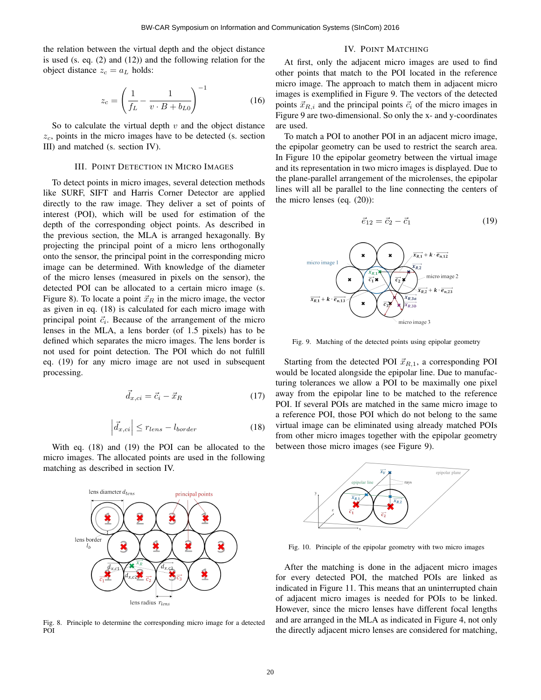the relation between the virtual depth and the object distance is used (s. eq. (2) and (12)) and the following relation for the object distance  $z_c = a_L$  holds:

$$
z_c = \left(\frac{1}{f_L} - \frac{1}{v \cdot B + b_{L0}}\right)^{-1}
$$
 (16)

So to calculate the virtual depth  $v$  and the object distance  $z_c$ , points in the micro images have to be detected (s. section III) and matched (s. section IV).

## III. POINT DETECTION IN MICRO IMAGES

To detect points in micro images, several detection methods like SURF, SIFT and Harris Corner Detector are applied directly to the raw image. They deliver a set of points of interest (POI), which will be used for estimation of the depth of the corresponding object points. As described in the previous section, the MLA is arranged hexagonally. By projecting the principal point of a micro lens orthogonally onto the sensor, the principal point in the corresponding micro image can be determined. With knowledge of the diameter of the micro lenses (measured in pixels on the sensor), the detected POI can be allocated to a certain micro image (s. Figure 8). To locate a point  $\vec{x}_R$  in the micro image, the vector as given in eq. (18) is calculated for each micro image with principal point  $\vec{c}_i$ . Because of the arrangement of the micro lenses in the MLA, a lens border (of 1.5 pixels) has to be defined which separates the micro images. The lens border is not used for point detection. The POI which do not fulfill eq. (19) for any micro image are not used in subsequent processing.

$$
\vec{d}_{x,ci} = \vec{c}_i - \vec{x}_R \tag{17}
$$

$$
\left| \vec{d}_{x,ci} \right| \le r_{lens} - l_{border} \tag{18}
$$

With eq. (18) and (19) the POI can be allocated to the micro images. The allocated points are used in the following matching as described in section IV.



Fig. 8. Principle to determine the corresponding micro image for a detected POI

# IV. POINT MATCHING

At first, only the adjacent micro images are used to find other points that match to the POI located in the reference micro image. The approach to match them in adjacent micro images is exemplified in Figure 9. The vectors of the detected points  $\vec{x}_{R,i}$  and the principal points  $\vec{c}_i$  of the micro images in Figure 9 are two-dimensional. So only the x- and y-coordinates are used.

To match a POI to another POI in an adjacent micro image, the epipolar geometry can be used to restrict the search area. In Figure 10 the epipolar geometry between the virtual image and its representation in two micro images is displayed. Due to the plane-parallel arrangement of the microlenses, the epipolar lines will all be parallel to the line connecting the centers of the micro lenses (eq. (20)):

$$
\vec{e}_{12} = \vec{c}_2 - \vec{c}_1 \tag{19}
$$



Fig. 9. Matching of the detected points using epipolar geometry

Starting from the detected POI  $\vec{x}_{R,1}$ , a corresponding POI would be located alongside the epipolar line. Due to manufacturing tolerances we allow a POI to be maximally one pixel away from the epipolar line to be matched to the reference POI. If several POIs are matched in the same micro image to a reference POI, those POI which do not belong to the same virtual image can be eliminated using already matched POIs from other micro images together with the epipolar geometry between those micro images (see Figure 9).



Fig. 10. Principle of the epipolar geometry with two micro images

After the matching is done in the adjacent micro images for every detected POI, the matched POIs are linked as indicated in Figure 11. This means that an uninterrupted chain of adjacent micro images is needed for POIs to be linked. However, since the micro lenses have different focal lengths and are arranged in the MLA as indicated in Figure 4, not only the directly adjacent micro lenses are considered for matching,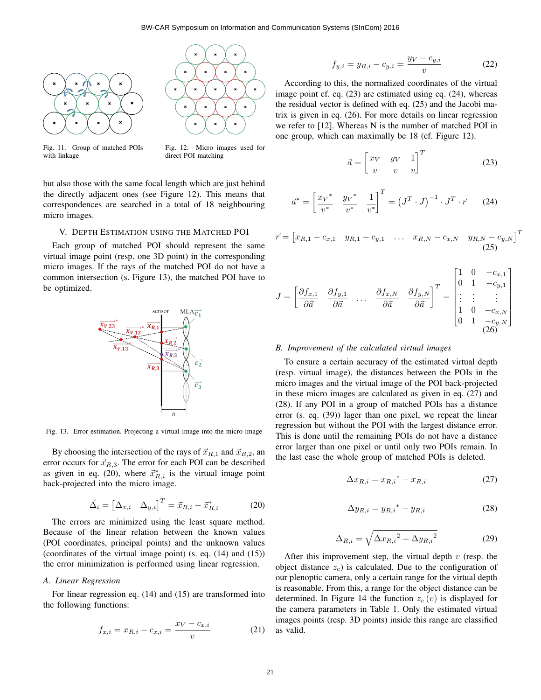$\bar{r}$ 





Fig. 11. Group of matched POIs with linkage

Fig. 12. Micro images used for direct POI matching

but also those with the same focal length which are just behind the directly adjacent ones (see Figure 12). This means that correspondences are searched in a total of 18 neighbouring micro images.

# V. DEPTH ESTIMATION USING THE MATCHED POI

Each group of matched POI should represent the same virtual image point (resp. one 3D point) in the corresponding micro images. If the rays of the matched POI do not have a common intersection (s. Figure 13), the matched POI have to be optimized.



Fig. 13. Error estimation. Projecting a virtual image into the micro image

By choosing the intersection of the rays of  $\vec{x}_{R,1}$  and  $\vec{x}_{R,2}$ , an error occurs for  $\vec{x}_{R,3}$ . The error for each POI can be described as given in eq. (20), where  $\vec{x}_{R,i}^*$  is the virtual image point back-projected into the micro image.

$$
\vec{\Delta}_i = \begin{bmatrix} \Delta_{x,i} & \Delta_{y,i} \end{bmatrix}^T = \vec{x}_{R,i} - \vec{x}_{R,i}^*
$$
(20)

The errors are minimized using the least square method. Because of the linear relation between the known values (POI coordinates, principal points) and the unknown values (coordinates of the virtual image point) (s. eq. (14) and (15)) the error minimization is performed using linear regression.

## *A. Linear Regression*

For linear regression eq. (14) and (15) are transformed into the following functions:

$$
f_{x,i} = x_{R,i} - c_{x,i} = \frac{x_V - c_{x,i}}{v}
$$
 (21)

$$
f_{y,i} = y_{R,i} - c_{y,i} = \frac{y_V - c_{y,i}}{v}
$$
 (22)

According to this, the normalized coordinates of the virtual image point cf. eq. (23) are estimated using eq. (24), whereas the residual vector is defined with eq. (25) and the Jacobi matrix is given in eq. (26). For more details on linear regression we refer to [12]. Whereas N is the number of matched POI in one group, which can maximally be 18 (cf. Figure 12).

$$
\vec{a} = \begin{bmatrix} \frac{x_V}{v} & \frac{y_V}{v} & \frac{1}{v} \end{bmatrix}^T
$$
 (23)

$$
\vec{a}^* = \begin{bmatrix} x_V^* & y_V^* & 1 \\ v^* & v^* & v^* \end{bmatrix}^T = \left(J^T \cdot J\right)^{-1} \cdot J^T \cdot \vec{r} \tag{24}
$$

$$
\vec{r} = \begin{bmatrix} x_{R,1} - c_{x,1} & y_{R,1} - c_{y,1} & \dots & x_{R,N} - c_{x,N} & y_{R,N} - c_{y,N} \end{bmatrix}^T
$$
\n(25)

$$
J = \begin{bmatrix} \frac{\partial f_{x,1}}{\partial \vec{a}} & \frac{\partial f_{y,1}}{\partial \vec{a}} & \dots & \frac{\partial f_{x,N}}{\partial \vec{a}} & \frac{\partial f_{y,N}}{\partial \vec{a}} \end{bmatrix}^T = \begin{bmatrix} 1 & 0 & -c_{x,1} \\ 0 & 1 & -c_{y,1} \\ \vdots & \vdots & \vdots \\ 1 & 0 & -c_{x,N} \\ 0 & 1 & -c_{y,N} \end{bmatrix} \tag{26}
$$

#### *B. Improvement of the calculated virtual images*

To ensure a certain accuracy of the estimated virtual depth (resp. virtual image), the distances between the POIs in the micro images and the virtual image of the POI back-projected in these micro images are calculated as given in eq. (27) and (28). If any POI in a group of matched POIs has a distance error (s. eq. (39)) lager than one pixel, we repeat the linear regression but without the POI with the largest distance error. This is done until the remaining POIs do not have a distance error larger than one pixel or until only two POIs remain. In the last case the whole group of matched POIs is deleted.

$$
\Delta x_{R,i} = x_{R,i}^* - x_{R,i} \tag{27}
$$

$$
\Delta y_{R,i} = y_{R,i}^* - y_{R,i} \tag{28}
$$

$$
\Delta_{R,i} = \sqrt{\Delta x_{R,i}^2 + \Delta y_{R,i}^2}
$$
 (29)

After this improvement step, the virtual depth  $v$  (resp. the object distance  $z_c$ ) is calculated. Due to the configuration of our plenoptic camera, only a certain range for the virtual depth is reasonable. From this, a range for the object distance can be determined. In Figure 14 the function  $z_c(v)$  is displayed for the camera parameters in Table 1. Only the estimated virtual images points (resp. 3D points) inside this range are classified as valid.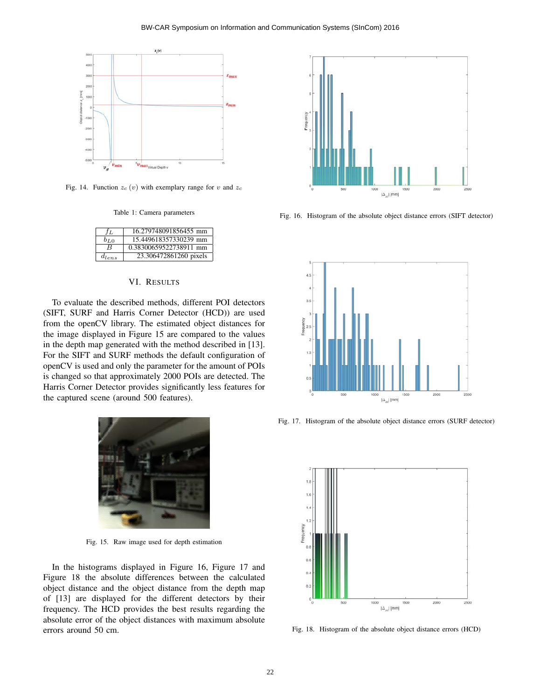

Fig. 14. Function  $z_c(v)$  with exemplary range for v and  $z_c$ 

Table 1: Camera parameters

| ĴГ.        | 16.279748091856455 mm  |
|------------|------------------------|
| $b_{L0}$   | 15.449618357330239 mm  |
| R          | 0.38300659522738911 mm |
| $d_{lens}$ | 23.306472861260 pixels |

# VI. RESULTS

To evaluate the described methods, different POI detectors (SIFT, SURF and Harris Corner Detector (HCD)) are used from the openCV library. The estimated object distances for the image displayed in Figure 15 are compared to the values in the depth map generated with the method described in [13]. For the SIFT and SURF methods the default configuration of openCV is used and only the parameter for the amount of POIs is changed so that approximately 2000 POIs are detected. The Harris Corner Detector provides significantly less features for the captured scene (around 500 features).



Fig. 15. Raw image used for depth estimation

In the histograms displayed in Figure 16, Figure 17 and Figure 18 the absolute differences between the calculated object distance and the object distance from the depth map of [13] are displayed for the different detectors by their frequency. The HCD provides the best results regarding the absolute error of the object distances with maximum absolute errors around 50 cm.



Fig. 16. Histogram of the absolute object distance errors (SIFT detector)



Fig. 17. Histogram of the absolute object distance errors (SURF detector)



Fig. 18. Histogram of the absolute object distance errors (HCD)